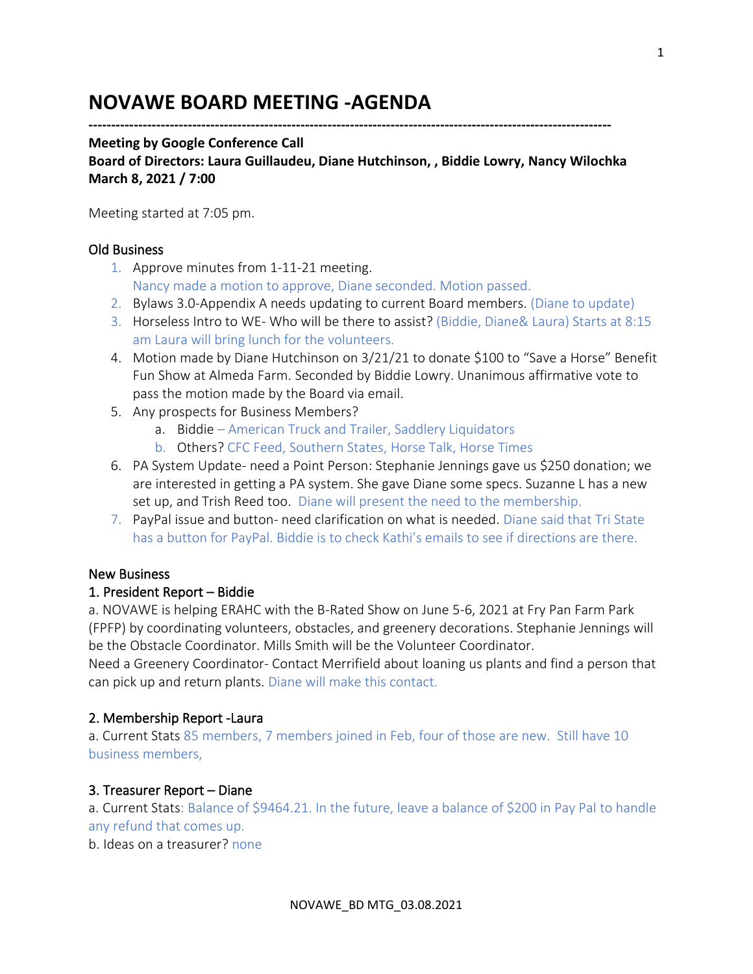# **NOVAWE BOARD MEETING -AGENDA**

**--------------------------------------------------------------------------------------------------------------------**

#### **Meeting by Google Conference Call**

**Board of Directors: Laura Guillaudeu, Diane Hutchinson, , Biddie Lowry, Nancy Wilochka March 8, 2021 / 7:00**

Meeting started at 7:05 pm.

#### Old Business

- 1. Approve minutes from 1-11-21 meeting. Nancy made a motion to approve, Diane seconded. Motion passed.
- 2. Bylaws 3.0-Appendix A needs updating to current Board members. (Diane to update)
- 3. Horseless Intro to WE- Who will be there to assist? (Biddie, Diane& Laura) Starts at 8:15 am Laura will bring lunch for the volunteers.
- 4. Motion made by Diane Hutchinson on 3/21/21 to donate \$100 to "Save a Horse" Benefit Fun Show at Almeda Farm. Seconded by Biddie Lowry. Unanimous affirmative vote to pass the motion made by the Board via email.
- 5. Any prospects for Business Members?
	- a. Biddie American Truck and Trailer, Saddlery Liquidators
	- b. Others? CFC Feed, Southern States, Horse Talk, Horse Times
- 6. PA System Update- need a Point Person: Stephanie Jennings gave us \$250 donation; we are interested in getting a PA system. She gave Diane some specs. Suzanne L has a new set up, and Trish Reed too. Diane will present the need to the membership.
- 7. PayPal issue and button- need clarification on what is needed. Diane said that Tri State has a button for PayPal. Biddie is to check Kathi's emails to see if directions are there.

#### New Business

### 1. President Report – Biddie

a. NOVAWE is helping ERAHC with the B-Rated Show on June 5-6, 2021 at Fry Pan Farm Park (FPFP) by coordinating volunteers, obstacles, and greenery decorations. Stephanie Jennings will be the Obstacle Coordinator. Mills Smith will be the Volunteer Coordinator.

Need a Greenery Coordinator- Contact Merrifield about loaning us plants and find a person that can pick up and return plants. Diane will make this contact.

#### 2. Membership Report -Laura

a. Current Stats 85 members, 7 members joined in Feb, four of those are new. Still have 10 business members,

#### 3. Treasurer Report – Diane

a. Current Stats: Balance of \$9464.21. In the future, leave a balance of \$200 in Pay Pal to handle any refund that comes up.

b. Ideas on a treasurer? none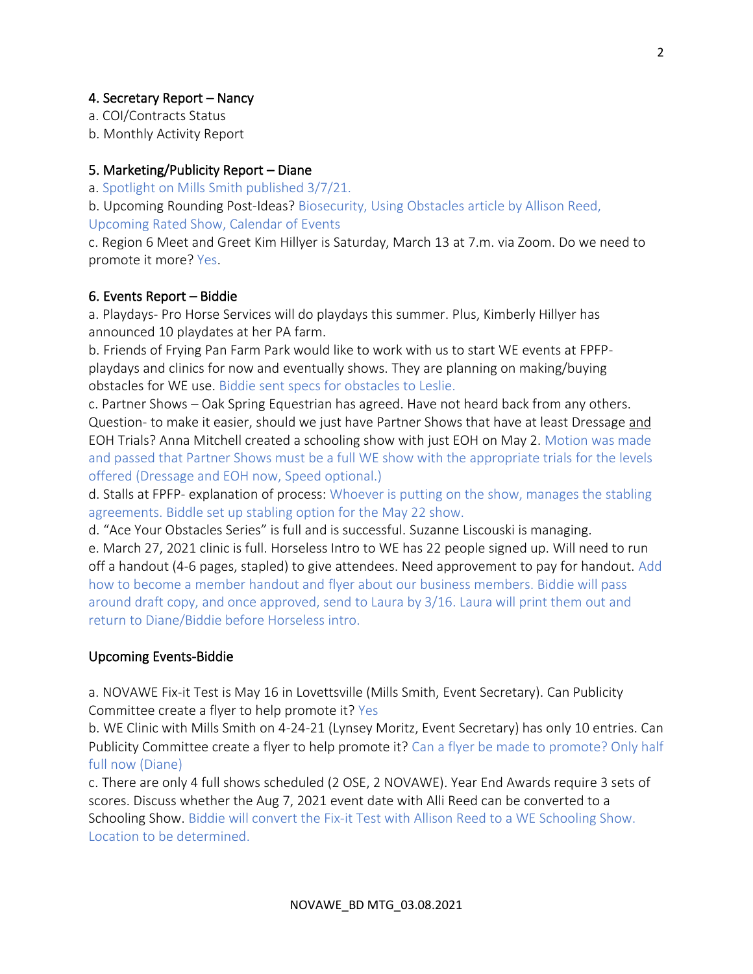## 4. Secretary Report – Nancy

a. COI/Contracts Status

b. Monthly Activity Report

## 5. Marketing/Publicity Report – Diane

a. Spotlight on Mills Smith published 3/7/21.

b. Upcoming Rounding Post-Ideas? Biosecurity, Using Obstacles article by Allison Reed, Upcoming Rated Show, Calendar of Events

c. Region 6 Meet and Greet Kim Hillyer is Saturday, March 13 at 7.m. via Zoom. Do we need to promote it more? Yes.

## 6. Events Report – Biddie

a. Playdays- Pro Horse Services will do playdays this summer. Plus, Kimberly Hillyer has announced 10 playdates at her PA farm.

b. Friends of Frying Pan Farm Park would like to work with us to start WE events at FPFPplaydays and clinics for now and eventually shows. They are planning on making/buying obstacles for WE use. Biddie sent specs for obstacles to Leslie.

c. Partner Shows – Oak Spring Equestrian has agreed. Have not heard back from any others. Question- to make it easier, should we just have Partner Shows that have at least Dressage and EOH Trials? Anna Mitchell created a schooling show with just EOH on May 2. Motion was made and passed that Partner Shows must be a full WE show with the appropriate trials for the levels offered (Dressage and EOH now, Speed optional.)

d. Stalls at FPFP- explanation of process: Whoever is putting on the show, manages the stabling agreements. Biddle set up stabling option for the May 22 show.

d. "Ace Your Obstacles Series" is full and is successful. Suzanne Liscouski is managing.

e. March 27, 2021 clinic is full. Horseless Intro to WE has 22 people signed up. Will need to run off a handout (4-6 pages, stapled) to give attendees. Need approvement to pay for handout. Add how to become a member handout and flyer about our business members. Biddie will pass around draft copy, and once approved, send to Laura by 3/16. Laura will print them out and return to Diane/Biddie before Horseless intro.

## Upcoming Events-Biddie

a. NOVAWE Fix-it Test is May 16 in Lovettsville (Mills Smith, Event Secretary). Can Publicity Committee create a flyer to help promote it? Yes

b. WE Clinic with Mills Smith on 4-24-21 (Lynsey Moritz, Event Secretary) has only 10 entries. Can Publicity Committee create a flyer to help promote it? Can a flyer be made to promote? Only half full now (Diane)

c. There are only 4 full shows scheduled (2 OSE, 2 NOVAWE). Year End Awards require 3 sets of scores. Discuss whether the Aug 7, 2021 event date with Alli Reed can be converted to a Schooling Show. Biddie will convert the Fix-it Test with Allison Reed to a WE Schooling Show. Location to be determined.